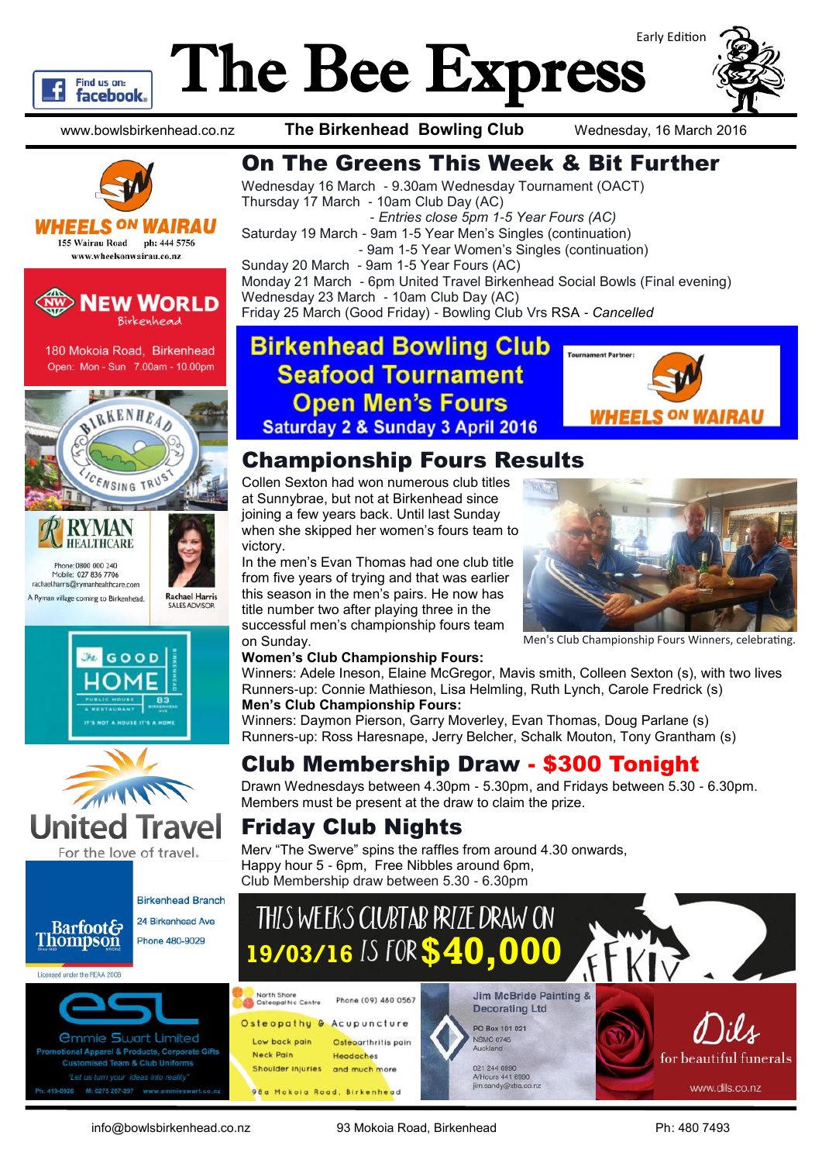

## The Bee Express Early Edition

www.bowlsbirkenhead.co.nz **The Birkenhead Bowling Club** Wednesday, 16 March 2016

Thursday 17 March - 10am Club Day (AC)

Sunday 20 March - 9am 1-5 Year Fours (AC)

Wednesday 23 March - 10am Club Day (AC)

On The Greens This Week & Bit Further

- *Entries close 5pm 1-5 Year Fours (AC)*

Monday 21 March - 6pm United Travel Birkenhead Social Bowls (Final evening)

- 9am 1-5 Year Women's Singles (continuation)

Wednesday 16 March - 9.30am Wednesday Tournament (OACT)

Saturday 19 March - 9am 1-5 Year Men's Singles (continuation)





**WHEELS ON W** 155 Wairau Road ph: 444 5756 www.wheelsonwairau.co.nz



180 Mokoia Road, Birkenhead Open: Mon - Sun 7.00am - 10.00pm







For the love of travel.



Licensed under the REAA 2008



Friday 25 March (Good Friday) - Bowling Club Vrs RSA *- Cancelled* **Birkenhead Bowling Club Seafood Tournament Open Men's Fours** 



Men's Club Championship Fours Winners, celebrating.

### Championship Fours Results

**Saturday 2 & Sunday 3 April 2016** 

Collen Sexton had won numerous club titles at Sunnybrae, but not at Birkenhead since joining a few years back. Until last Sunday when she skipped her women's fours team to victory.

In the men's Evan Thomas had one club title from five years of trying and that was earlier this season in the men's pairs. He now has title number two after playing three in the successful men's championship fours team on Sunday.

#### **Women's Club Championship Fours:**

Winners: Adele Ineson, Elaine McGregor, Mavis smith, Colleen Sexton (s), with two lives Runners-up: Connie Mathieson, Lisa Helmling, Ruth Lynch, Carole Fredrick (s) **Men's Club Championship Fours:**

Winners: Daymon Pierson, Garry Moverley, Evan Thomas, Doug Parlane (s) Runners-up: Ross Haresnape, Jerry Belcher, Schalk Mouton, Tony Grantham (s)

#### Club Membership Draw - \$300 Tonight

Drawn Wednesdays between 4.30pm - 5.30pm, and Fridays between 5.30 - 6.30pm. Members must be present at the draw to claim the prize.

#### Friday Club Nights

Merv "The Swerve" spins the raffles from around 4.30 onwards, Happy hour 5 - 6pm, Free Nibbles around 6pm, Club Membership draw between 5.30 - 6.30pm